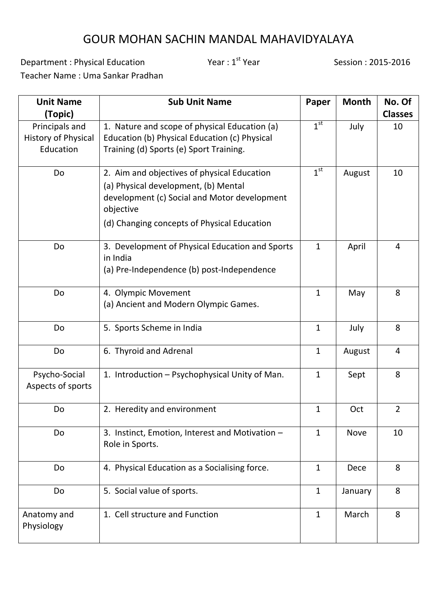## GOUR MOHAN SACHIN MANDAL MAHAVIDYALAYA

Department : Physical Education Theory Year : 1<sup>st</sup> Year Year Session : 2015-2016

Teacher Name : Uma Sankar Pradhan

| <b>Unit Name</b>                                          | <b>Sub Unit Name</b>                                                                                                                                                                            | Paper           | <b>Month</b> | No. Of         |
|-----------------------------------------------------------|-------------------------------------------------------------------------------------------------------------------------------------------------------------------------------------------------|-----------------|--------------|----------------|
| (Topic)                                                   |                                                                                                                                                                                                 |                 |              | <b>Classes</b> |
| Principals and<br><b>History of Physical</b><br>Education | 1. Nature and scope of physical Education (a)<br>Education (b) Physical Education (c) Physical<br>Training (d) Sports (e) Sport Training.                                                       | $1^{\text{st}}$ | July         | 10             |
| <b>Do</b>                                                 | 2. Aim and objectives of physical Education<br>(a) Physical development, (b) Mental<br>development (c) Social and Motor development<br>objective<br>(d) Changing concepts of Physical Education | $1^{\text{st}}$ | August       | 10             |
| Do                                                        | 3. Development of Physical Education and Sports<br>in India<br>(a) Pre-Independence (b) post-Independence                                                                                       | $\mathbf{1}$    | April        | $\overline{4}$ |
| <b>Do</b>                                                 | 4. Olympic Movement<br>(a) Ancient and Modern Olympic Games.                                                                                                                                    | $\mathbf{1}$    | May          | 8              |
| Do                                                        | 5. Sports Scheme in India                                                                                                                                                                       | $\mathbf{1}$    | July         | 8              |
| Do                                                        | 6. Thyroid and Adrenal                                                                                                                                                                          | $\mathbf{1}$    | August       | 4              |
| Psycho-Social<br>Aspects of sports                        | 1. Introduction - Psychophysical Unity of Man.                                                                                                                                                  | $\mathbf{1}$    | Sept         | 8              |
| Do                                                        | 2. Heredity and environment                                                                                                                                                                     | $\mathbf{1}$    | Oct          | $\overline{2}$ |
| <b>Do</b>                                                 | 3. Instinct, Emotion, Interest and Motivation -<br>Role in Sports.                                                                                                                              | $\mathbf{1}$    | <b>Nove</b>  | 10             |
| Do                                                        | 4. Physical Education as a Socialising force.                                                                                                                                                   | $\mathbf{1}$    | Dece         | 8              |
| Do                                                        | 5. Social value of sports.                                                                                                                                                                      | $\mathbf{1}$    | January      | 8              |
| Anatomy and<br>Physiology                                 | 1. Cell structure and Function                                                                                                                                                                  | $\mathbf{1}$    | March        | 8              |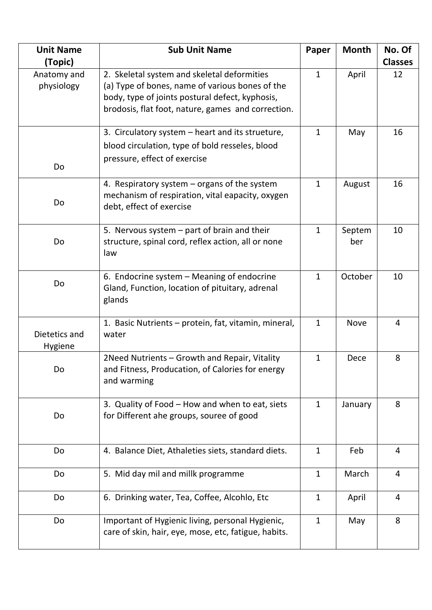| <b>Unit Name</b>                     | <b>Sub Unit Name</b>                                                                                                                                                                                    | Paper        | <b>Month</b>  | No. Of               |
|--------------------------------------|---------------------------------------------------------------------------------------------------------------------------------------------------------------------------------------------------------|--------------|---------------|----------------------|
| (Topic)<br>Anatomy and<br>physiology | 2. Skeletal system and skeletal deformities<br>(a) Type of bones, name of various bones of the<br>body, type of joints postural defect, kyphosis,<br>brodosis, flat foot, nature, games and correction. | $\mathbf{1}$ | April         | <b>Classes</b><br>12 |
| Do                                   | 3. Circulatory system – heart and its strueture,<br>blood circulation, type of bold resseles, blood<br>pressure, effect of exercise                                                                     | $\mathbf{1}$ | May           | 16                   |
| Do                                   | 4. Respiratory system – organs of the system<br>mechanism of respiration, vital eapacity, oxygen<br>debt, effect of exercise                                                                            | $\mathbf{1}$ | August        | 16                   |
| Do                                   | 5. Nervous system - part of brain and their<br>structure, spinal cord, reflex action, all or none<br>law                                                                                                | $\mathbf{1}$ | Septem<br>ber | 10                   |
| Do                                   | 6. Endocrine system - Meaning of endocrine<br>Gland, Function, location of pituitary, adrenal<br>glands                                                                                                 | $\mathbf{1}$ | October       | 10                   |
| Dietetics and<br>Hygiene             | 1. Basic Nutrients - protein, fat, vitamin, mineral,<br>water                                                                                                                                           | $\mathbf{1}$ | <b>Nove</b>   | $\overline{4}$       |
| Do                                   | 2Need Nutrients - Growth and Repair, Vitality<br>and Fitness, Producation, of Calories for energy<br>and warming                                                                                        | $\mathbf{1}$ | Dece          | 8                    |
| Do                                   | 3. Quality of Food - How and when to eat, siets<br>for Different ahe groups, souree of good                                                                                                             | $\mathbf{1}$ | January       | 8                    |
| Do                                   | 4. Balance Diet, Athaleties siets, standard diets.                                                                                                                                                      | $\mathbf{1}$ | Feb           | $\overline{4}$       |
| Do                                   | 5. Mid day mil and millk programme                                                                                                                                                                      | $\mathbf{1}$ | March         | $\overline{4}$       |
| Do                                   | 6. Drinking water, Tea, Coffee, Alcohlo, Etc                                                                                                                                                            | $\mathbf{1}$ | April         | 4                    |
| Do                                   | Important of Hygienic living, personal Hygienic,<br>care of skin, hair, eye, mose, etc, fatigue, habits.                                                                                                | $\mathbf{1}$ | May           | 8                    |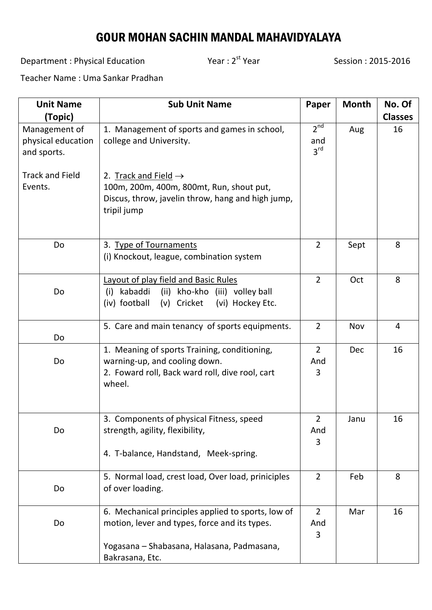## GOUR MOHAN SACHIN MANDAL MAHAVIDYALAYA

Department : Physical Education Theory Year : 2<sup>st</sup> Year Year Session : 2015-2016

Teacher Name : Uma Sankar Pradhan

| <b>Unit Name</b>       | <b>Sub Unit Name</b>                               | Paper                  | <b>Month</b> | No. Of         |
|------------------------|----------------------------------------------------|------------------------|--------------|----------------|
| (Topic)                |                                                    |                        |              | <b>Classes</b> |
| Management of          | 1. Management of sports and games in school,       | 2 <sup>nd</sup>        | Aug          | 16             |
| physical education     | college and University.                            | and<br>$3^{\text{rd}}$ |              |                |
| and sports.            |                                                    |                        |              |                |
| <b>Track and Field</b> | 2. Track and Field $\rightarrow$                   |                        |              |                |
| Events.                | 100m, 200m, 400m, 800mt, Run, shout put,           |                        |              |                |
|                        | Discus, throw, javelin throw, hang and high jump,  |                        |              |                |
|                        | tripil jump                                        |                        |              |                |
|                        |                                                    |                        |              |                |
| Do                     | 3. Type of Tournaments                             | $\overline{2}$         | Sept         | 8              |
|                        | (i) Knockout, league, combination system           |                        |              |                |
|                        |                                                    |                        |              |                |
|                        | <b>Layout of play field and Basic Rules</b>        | $\overline{2}$         | Oct          | 8              |
| Do                     | (ii) kho-kho (iii) volley ball<br>kabaddi<br>(i)   |                        |              |                |
|                        | (v) Cricket (vi) Hockey Etc.<br>(iv) football      |                        |              |                |
|                        | 5. Care and main tenancy of sports equipments.     | $\overline{2}$         | Nov          | $\overline{4}$ |
| Do                     |                                                    |                        |              |                |
|                        | 1. Meaning of sports Training, conditioning,       | $\overline{2}$         | <b>Dec</b>   | 16             |
| Do                     | warning-up, and cooling down.                      | And                    |              |                |
|                        | 2. Foward roll, Back ward roll, dive rool, cart    | 3                      |              |                |
|                        | wheel.                                             |                        |              |                |
|                        |                                                    |                        |              |                |
|                        | 3. Components of physical Fitness, speed           | $\overline{2}$         | Janu         | 16             |
| Do                     | strength, agility, flexibility,                    | And                    |              |                |
|                        |                                                    | 3                      |              |                |
|                        | 4. T-balance, Handstand, Meek-spring.              |                        |              |                |
|                        | 5. Normal load, crest load, Over load, priniciples | $\overline{2}$         | Feb          | 8              |
| Do                     | of over loading.                                   |                        |              |                |
|                        | 6. Mechanical principles applied to sports, low of | $\overline{2}$         | Mar          | 16             |
| Do                     | motion, lever and types, force and its types.      | And                    |              |                |
|                        |                                                    | 3                      |              |                |
|                        | Yogasana - Shabasana, Halasana, Padmasana,         |                        |              |                |
|                        | Bakrasana, Etc.                                    |                        |              |                |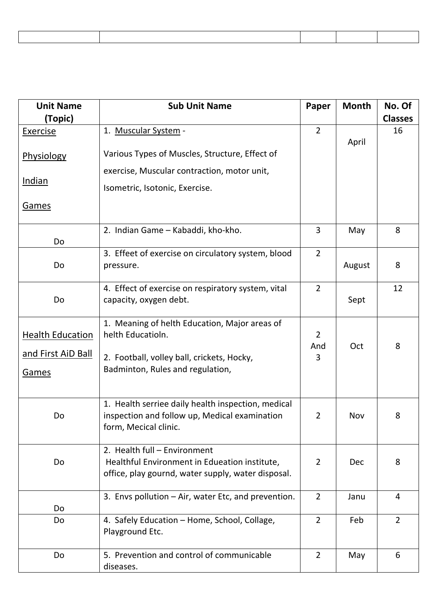| <b>Unit Name</b>          | <b>Sub Unit Name</b>                                                         | Paper          | <b>Month</b> | No. Of         |
|---------------------------|------------------------------------------------------------------------------|----------------|--------------|----------------|
| (Topic)                   |                                                                              |                |              | <b>Classes</b> |
| Exercise                  | 1. Muscular System -                                                         | $\overline{2}$ |              | 16             |
| <b>Physiology</b>         | Various Types of Muscles, Structure, Effect of                               |                | April        |                |
|                           | exercise, Muscular contraction, motor unit,                                  |                |              |                |
| <u>Indian</u>             | Isometric, Isotonic, Exercise.                                               |                |              |                |
| <b>Games</b>              |                                                                              |                |              |                |
|                           | 2. Indian Game - Kabaddi, kho-kho.                                           | 3              | May          | 8              |
| Do                        |                                                                              |                |              |                |
|                           | 3. Effeet of exercise on circulatory system, blood                           | $\overline{2}$ |              |                |
| Do                        | pressure.                                                                    |                | August       | 8              |
|                           |                                                                              |                |              |                |
| Do                        | 4. Effect of exercise on respiratory system, vital<br>capacity, oxygen debt. | $\overline{2}$ |              | 12             |
|                           |                                                                              |                | Sept         |                |
|                           | 1. Meaning of helth Education, Major areas of                                |                |              |                |
| <b>Health Education</b>   | helth Educatioln.                                                            | $\overline{2}$ |              |                |
|                           |                                                                              | And            | Oct          | 8              |
| <u>and First AiD Ball</u> | 2. Football, volley ball, crickets, Hocky,                                   | 3              |              |                |
| Games                     | Badminton, Rules and regulation,                                             |                |              |                |
|                           |                                                                              |                |              |                |
|                           | 1. Health serriee daily health inspection, medical                           |                |              |                |
| Do                        | inspection and follow up, Medical examination                                | $\overline{2}$ | Nov          | 8              |
|                           | form, Mecical clinic.                                                        |                |              |                |
|                           | 2. Health full - Environment                                                 |                |              |                |
| Do                        | Healthful Environment in Edueation institute,                                | $\overline{2}$ | <b>Dec</b>   | 8              |
|                           | office, play gournd, water supply, water disposal.                           |                |              |                |
|                           |                                                                              |                |              |                |
|                           | 3. Envs pollution - Air, water Etc, and prevention.                          | $\overline{2}$ | Janu         | $\overline{4}$ |
| Do                        |                                                                              |                |              |                |
| Do                        | 4. Safely Education - Home, School, Collage,                                 | $\overline{2}$ | Feb          | $\overline{2}$ |
|                           | Playground Etc.                                                              |                |              |                |
| Do                        | 5. Prevention and control of communicable                                    | $\overline{2}$ | May          | 6              |
|                           | diseases.                                                                    |                |              |                |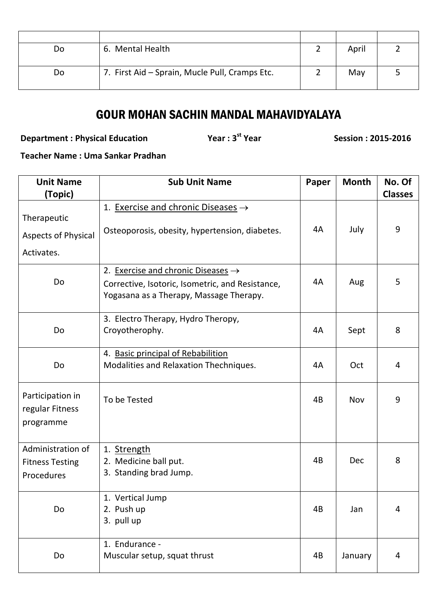| Do | 6. Mental Health                               | April |  |
|----|------------------------------------------------|-------|--|
| Do | 7. First Aid - Sprain, Mucle Pull, Cramps Etc. | May   |  |

## GOUR MOHAN SACHIN MANDAL MAHAVIDYALAYA

**Department : Physical Education Theory Constructs Vear : 3<sup>st</sup> Year** 

**st Year Session : 2015-2016**

**Teacher Name : Uma Sankar Pradhan**

| <b>Unit Name</b>                                 | <b>Sub Unit Name</b>                                                                        | Paper | <b>Month</b> | No. Of         |
|--------------------------------------------------|---------------------------------------------------------------------------------------------|-------|--------------|----------------|
| (Topic)                                          |                                                                                             |       |              | <b>Classes</b> |
| Therapeutic                                      | 1. Exercise and chronic Diseases $\rightarrow$                                              |       |              |                |
| Aspects of Physical                              | Osteoporosis, obesity, hypertension, diabetes.                                              | 4A    | July         | 9              |
| Activates.                                       |                                                                                             |       |              |                |
|                                                  | 2. Exercise and chronic Diseases $\rightarrow$                                              |       |              |                |
| Do                                               | Corrective, Isotoric, Isometric, and Resistance,<br>Yogasana as a Therapy, Massage Therapy. | 4A    | Aug          | 5              |
|                                                  | 3. Electro Therapy, Hydro Theropy,                                                          |       |              |                |
| Do                                               | Croyotherophy.                                                                              | 4A    | Sept         | 8              |
|                                                  | 4. Basic principal of Rebabilition                                                          |       |              |                |
| Do                                               | Modalities and Relaxation Thechniques.                                                      | 4A    | Oct          | 4              |
| Participation in<br>regular Fitness<br>programme | To be Tested                                                                                | 4B    | Nov          | 9              |
| Administration of                                |                                                                                             |       |              |                |
| <b>Fitness Testing</b>                           | 1. Strength<br>2. Medicine ball put.                                                        | 4B    | <b>Dec</b>   | 8              |
| Procedures                                       | 3. Standing brad Jump.                                                                      |       |              |                |
|                                                  | 1. Vertical Jump                                                                            |       |              |                |
| Do                                               | 2. Push up<br>3. pull up                                                                    | 4B    | Jan          | 4              |
|                                                  | 1. Endurance -                                                                              |       |              |                |
| Do                                               | Muscular setup, squat thrust                                                                | 4B    | January      | $\overline{4}$ |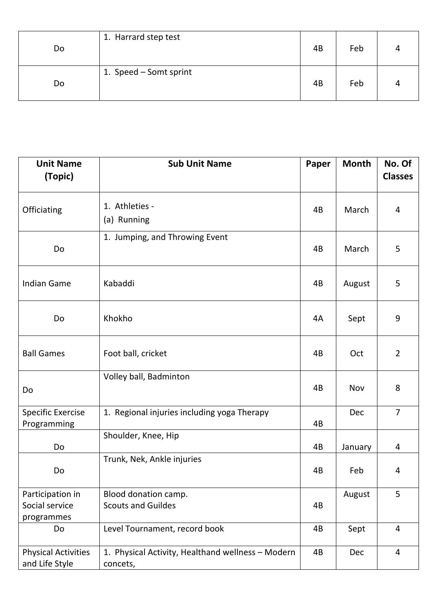| Do | 1. Harrard step test   | 4B | Feb | 4 |
|----|------------------------|----|-----|---|
| Do | 1. Speed - Somt sprint | 4B | Feb | 4 |

| <b>Unit Name</b><br>(Topic)                      | <b>Sub Unit Name</b>                                          | Paper | <b>Month</b> | No. Of<br><b>Classes</b> |
|--------------------------------------------------|---------------------------------------------------------------|-------|--------------|--------------------------|
|                                                  |                                                               |       |              |                          |
| Officiating                                      | 1. Athleties -<br>(a) Running                                 | 4B    | March        | 4                        |
| <b>Do</b>                                        | 1. Jumping, and Throwing Event                                | 4B    | March        | 5                        |
| <b>Indian Game</b>                               | Kabaddi                                                       | 4B    | August       | 5                        |
| <b>Do</b>                                        | Khokho                                                        | 4A    | Sept         | 9                        |
| <b>Ball Games</b>                                | Foot ball, cricket                                            | 4B    | Oct          | $\overline{2}$           |
| Do                                               | Volley ball, Badminton                                        | 4B    | Nov          | 8                        |
| <b>Specific Exercise</b><br>Programming          | 1. Regional injuries including yoga Therapy                   | 4B    | Dec          | $\overline{7}$           |
| Do                                               | Shoulder, Knee, Hip                                           | 4B    | January      | $\overline{4}$           |
| Do                                               | Trunk, Nek, Ankle injuries                                    | 4B    | Feb          | 4                        |
| Participation in<br>Social service<br>programmes | Blood donation camp.<br><b>Scouts and Guildes</b>             | 4B    | August       | 5                        |
| Do                                               | Level Tournament, record book                                 | 4B    | Sept         | $\overline{4}$           |
| <b>Physical Activities</b><br>and Life Style     | 1. Physical Activity, Healthand wellness - Modern<br>concets, | 4B    | Dec          | $\overline{4}$           |